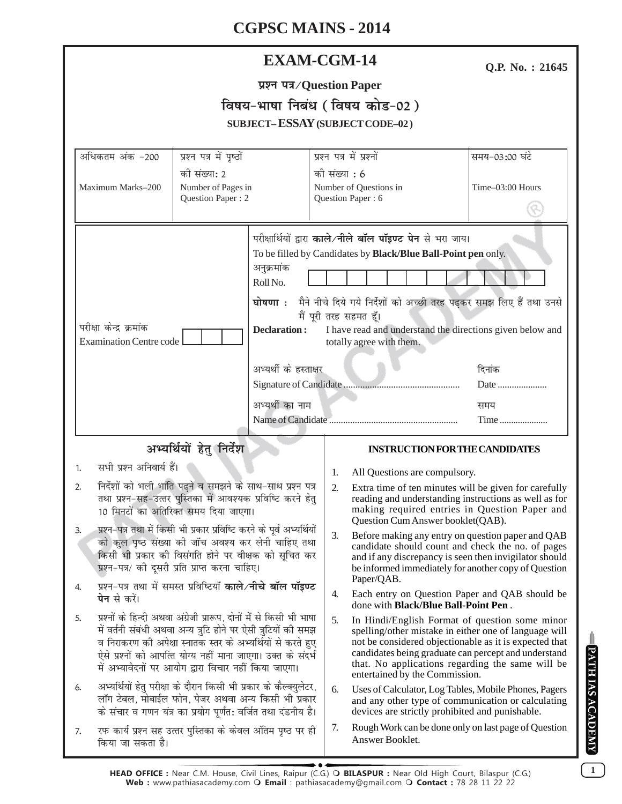# **CGPSC MAINS - 2014**

| <b>EXAM-CGM-14</b> |
|--------------------|
|--------------------|

Q.P. No.: 21645

|  | प्रश्न पत्र⁄Question Paper |  |
|--|----------------------------|--|
|--|----------------------------|--|

|                                        | विषय-भाषा निबंध (विषय कोड-02) |
|----------------------------------------|-------------------------------|
| <b>SUBJECT-ESSAY (SUBJECT CODE-02)</b> |                               |

| अधिकतम अंक -200                                                                                                                                                                                                                                                                                                                                                                                                                         | प्रश्न पत्र में पृष्ठों                                                                                                                                                                  | प्रश्न पत्र में प्रश्नों |                                                                                                                                                                                                                                                                                                                 | समय-03:00 घंटे   |
|-----------------------------------------------------------------------------------------------------------------------------------------------------------------------------------------------------------------------------------------------------------------------------------------------------------------------------------------------------------------------------------------------------------------------------------------|------------------------------------------------------------------------------------------------------------------------------------------------------------------------------------------|--------------------------|-----------------------------------------------------------------------------------------------------------------------------------------------------------------------------------------------------------------------------------------------------------------------------------------------------------------|------------------|
| Maximum Marks-200                                                                                                                                                                                                                                                                                                                                                                                                                       | की संख्या: 2<br>Number of Pages in<br>Question Paper: 2                                                                                                                                  |                          | को संख्या : 6<br>Number of Questions in<br>Question Paper: 6                                                                                                                                                                                                                                                    | Time-03:00 Hours |
| अनुक्रमांक<br>Roll No.<br>परीक्षा केन्द्र क्रमांक<br>Declaration:<br><b>Examination Centre code</b>                                                                                                                                                                                                                                                                                                                                     |                                                                                                                                                                                          | मैं पूरी तरह सहमत हूँ।   | परीक्षार्थियों द्वारा काले/नीले बॉल पॉइण्ट पेन से भरा जाय।<br>To be filled by Candidates by Black/Blue Ball-Point pen only.<br>घोषणा : मैने नीचे दिये गये निर्देशों को अच्छी तरह पढ़कर समझ लिए हैं तथा उनसे<br>I have read and understand the directions given below and<br>totally agree with them.            |                  |
|                                                                                                                                                                                                                                                                                                                                                                                                                                         | अभ्यर्थी के हस्ताक्षर                                                                                                                                                                    |                          |                                                                                                                                                                                                                                                                                                                 | दिनांक           |
|                                                                                                                                                                                                                                                                                                                                                                                                                                         | अभ्यर्थी का नाम                                                                                                                                                                          |                          |                                                                                                                                                                                                                                                                                                                 | समय<br>Time      |
|                                                                                                                                                                                                                                                                                                                                                                                                                                         | अभ्यर्थियों हेतु निर्देश                                                                                                                                                                 |                          | <b>INSTRUCTION FOR THE CANDIDATES</b>                                                                                                                                                                                                                                                                           |                  |
| सभी प्रश्न अनिवार्य हैं।<br>1.                                                                                                                                                                                                                                                                                                                                                                                                          |                                                                                                                                                                                          | 1.                       | All Questions are compulsory.                                                                                                                                                                                                                                                                                   |                  |
| निर्देशों को भली भांति पढ़ने व समझने के साथ-साथ प्रश्न पत्र<br>2.<br>तथा प्रश्न-सह-उत्तर पुस्तिका में आवश्यक प्रविष्टि करने हेतु<br>10 मिनटों का अतिरिक्त समय दिया जाएगा।<br>प्रश्न–पत्र तथा में किसी भी प्रकार प्रविष्टि करने के पूर्व अभ्यर्थियों<br>3.<br>को कुल पृष्ठ संख्या की जाँच अवश्य कर लेनी चाहिए तथा<br>किसी भी प्रकार की विसंगति होने पर वीक्षक को सूचित कर<br>प्रश्न-पत्र/ की दूसरी प्रति प्राप्त करना चाहिए।             |                                                                                                                                                                                          |                          | Extra time of ten minutes will be given for carefully<br>reading and understanding instructions as well as for<br>making required entries in Question Paper and<br>Question Cum Answer booklet(QAB).                                                                                                            |                  |
|                                                                                                                                                                                                                                                                                                                                                                                                                                         |                                                                                                                                                                                          |                          | Before making any entry on question paper and QAB<br>candidate should count and check the no. of pages<br>and if any discrepancy is seen then invigilator should<br>be informed immediately for another copy of Question<br>Paper/QAB.                                                                          |                  |
| प्रश्न-पत्र तथा में समस्त प्रविष्टियाँ <b>काले/नीचे बॉल पॉइण्ट</b><br>4.<br><b>पेन</b> से करें।<br>प्रश्नों के हिन्दी अथवा अंग्रेजी प्रारूप, दोनों में से किसी भी भाषा<br>5.<br>में वर्तनी संबंधी अथवा अन्य त्रुटि होने पर ऐसी त्रुटियों की समझ<br>व निराकरण की अपेक्षा स्नातक स्तर के अभ्यर्थियों से करते हुए<br>ऐसे प्रश्नों को आपत्ति योग्य नहीं माना जाएगा। उक्त के संदर्भ<br>में अभ्यावेदनों पर आयोग द्वारा विचार नहीं किया जाएगा। |                                                                                                                                                                                          | 4.                       | Each entry on Question Paper and QAB should be<br>done with <b>Black/Blue Ball-Point Pen</b> .                                                                                                                                                                                                                  |                  |
|                                                                                                                                                                                                                                                                                                                                                                                                                                         |                                                                                                                                                                                          | 5.                       | In Hindi/English Format of question some minor<br>spelling/other mistake in either one of language will<br>not be considered objectionable as it is expected that<br>candidates being graduate can percept and understand<br>that. No applications regarding the same will be<br>entertained by the Commission. |                  |
| 6.                                                                                                                                                                                                                                                                                                                                                                                                                                      | अभ्यर्थियों हेतु परीक्षा के दौरान किसी भी प्रकार के कैल्क्युलेटर,<br>लॉग टेबल, मोबाईल फोन, पेजर अथवा अन्य किसी भी प्रकार<br>के संचार व गणन यंत्र का प्रयोग पूर्णत: वर्जित तथा दंडनीय है। | 6.                       | Uses of Calculator, Log Tables, Mobile Phones, Pagers<br>and any other type of communication or calculating<br>devices are strictly prohibited and punishable.                                                                                                                                                  |                  |
| 7.<br>किया जा सकता है।                                                                                                                                                                                                                                                                                                                                                                                                                  | रफ कार्य प्रश्न सह उत्तर पुस्तिका के केवल अंतिम पृष्ठ पर ही                                                                                                                              | 7.                       | Rough Work can be done only on last page of Question<br>Answer Booklet.                                                                                                                                                                                                                                         |                  |